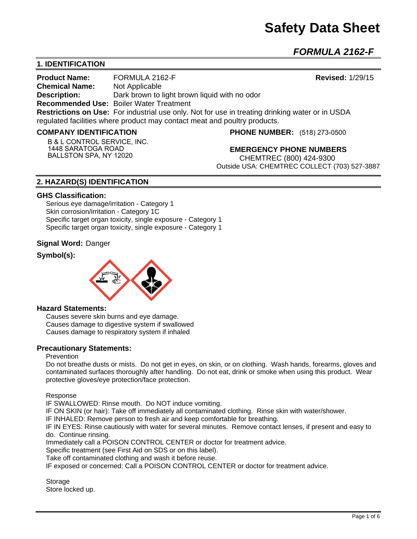# **Safety Data Sheet**

*FORMULA 2162-F* 

# **1. IDENTIFICATION**

**Product Name:** FORMULA 2162-F **Revised:** 1/29/15 **Chemical Name:** Not Applicable **Description:** Dark brown to light brown liquid with no odor **Recommended Use:** Boiler Water Treatment **Restrictions on Use:** For industrial use only. Not for use in treating drinking water or in USDA regulated facilities where product may contact meat and poultry products.

#### **COMPANY IDENTIFICATION**

**B & L CONTROL SERVICE, INC. 1448 SARATOGA ROAD BALLSTON SPA, NY 12020**

**PHONE NUMBER:** (518) 273-0500

**EMERGENCY PHONE NUMBERS** CHEMTREC (800) 424-9300 Outside USA: CHEMTREC COLLECT (703) 527-3887

# **2. HAZARD(S) IDENTIFICATION**

#### **GHS Classification:**

Serious eye damage/irritation - Category 1 Skin corrosion/irritation - Category 1C Specific target organ toxicity, single exposure - Category 1 Specific target organ toxicity, single exposure - Category 1

#### **Signal Word:** Danger

# **Symbol(s):**



#### **Hazard Statements:**

Causes severe skin burns and eye damage. Causes damage to digestive system if swallowed Causes damage to respiratory system if inhaled

#### **Precautionary Statements:**

#### Prevention

Do not breathe dusts or mists. Do not get in eyes, on skin, or on clothing. Wash hands, forearms, gloves and contaminated surfaces thoroughly after handling. Do not eat, drink or smoke when using this product. Wear protective gloves/eye protection/face protection.

Response

IF SWALLOWED: Rinse mouth. Do NOT induce vomiting.

IF ON SKIN (or hair): Take off immediately all contaminated clothing. Rinse skin with water/shower.

IF INHALED: Remove person to fresh air and keep comfortable for breathing.

IF IN EYES: Rinse cautiously with water for several minutes. Remove contact lenses, if present and easy to do. Continue rinsing.

Immediately call a POISON CONTROL CENTER or doctor for treatment advice.

Specific treatment (see First Aid on SDS or on this label).

Take off contaminated clothing and wash it before reuse.

IF exposed or concerned: Call a POISON CONTROL CENTER or doctor for treatment advice.

**Storage** Store locked up.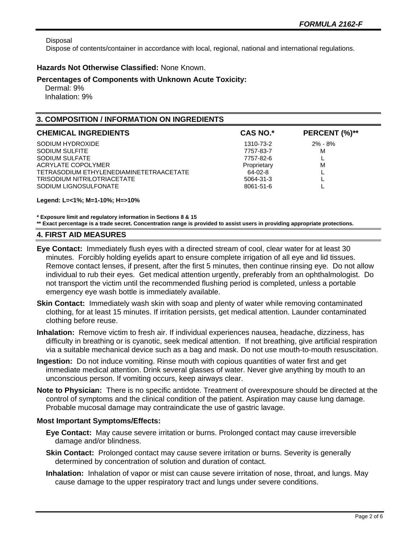Disposal

Dispose of contents/container in accordance with local, regional, national and international regulations.

### **Hazards Not Otherwise Classified:** None Known.

#### **Percentages of Components with Unknown Acute Toxicity:**

 Dermal: 9% Inhalation: 9%

# **3. COMPOSITION / INFORMATION ON INGREDIENTS**

| <b>CHEMICAL INGREDIENTS</b>             | <b>CAS NO.*</b> | PERCENT (%)** |
|-----------------------------------------|-----------------|---------------|
| SODIUM HYDROXIDE                        | 1310-73-2       | $2\% - 8\%$   |
| SODIUM SULFITE                          | 7757-83-7       | М             |
| SODIUM SULFATE                          | 7757-82-6       | <b>.</b>      |
| ACRYLATE COPOLYMER                      | Proprietary     | M             |
| TETRASODIUM ETHYLENEDIAMINETETRAACETATE | 64-02-8         |               |
| <b>TRISODIUM NITRILOTRIACETATE</b>      | 5064-31-3       |               |
| SODIUM LIGNOSULFONATE                   | 8061-51-6       |               |

#### **Legend: L=<1%; M=1-10%; H=>10%**

**\* Exposure limit and regulatory information in Sections 8 & 15 \*\* Exact percentage is a trade secret. Concentration range is provided to assist users in providing appropriate protections.**

#### **4. FIRST AID MEASURES**

- **Eye Contact:** Immediately flush eyes with a directed stream of cool, clear water for at least 30 minutes. Forcibly holding eyelids apart to ensure complete irrigation of all eye and lid tissues. Remove contact lenses, if present, after the first 5 minutes, then continue rinsing eye. Do not allow individual to rub their eyes. Get medical attention urgently, preferably from an ophthalmologist. Do not transport the victim until the recommended flushing period is completed, unless a portable emergency eye wash bottle is immediately available.
- **Skin Contact:** Immediately wash skin with soap and plenty of water while removing contaminated clothing, for at least 15 minutes. If irritation persists, get medical attention. Launder contaminated clothing before reuse.
- **Inhalation:** Remove victim to fresh air. If individual experiences nausea, headache, dizziness, has difficulty in breathing or is cyanotic, seek medical attention. If not breathing, give artificial respiration via a suitable mechanical device such as a bag and mask. Do not use mouth-to-mouth resuscitation.
- **Ingestion:** Do not induce vomiting. Rinse mouth with copious quantities of water first and get immediate medical attention. Drink several glasses of water. Never give anything by mouth to an unconscious person. If vomiting occurs, keep airways clear.
- **Note to Physician:** There is no specific antidote. Treatment of overexposure should be directed at the control of symptoms and the clinical condition of the patient. Aspiration may cause lung damage. Probable mucosal damage may contraindicate the use of gastric lavage.

#### **Most Important Symptoms/Effects:**

- **Eye Contact:** May cause severe irritation or burns. Prolonged contact may cause irreversible damage and/or blindness.
- **Skin Contact:** Prolonged contact may cause severe irritation or burns. Severity is generally determined by concentration of solution and duration of contact.
- **Inhalation:** Inhalation of vapor or mist can cause severe irritation of nose, throat, and lungs. May cause damage to the upper respiratory tract and lungs under severe conditions.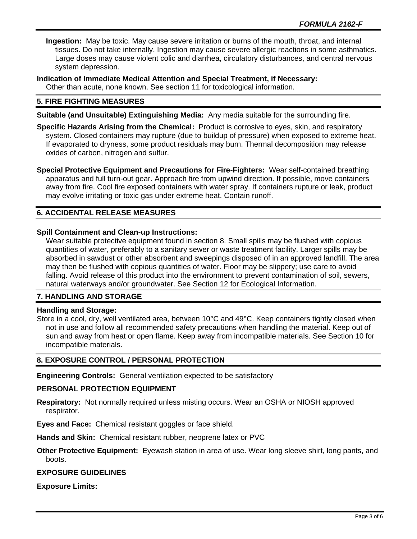**Ingestion:** May be toxic. May cause severe irritation or burns of the mouth, throat, and internal tissues. Do not take internally. Ingestion may cause severe allergic reactions in some asthmatics. Large doses may cause violent colic and diarrhea, circulatory disturbances, and central nervous system depression.

**Indication of Immediate Medical Attention and Special Treatment, if Necessary:**

Other than acute, none known. See section 11 for toxicological information.

# **5. FIRE FIGHTING MEASURES**

**Suitable (and Unsuitable) Extinguishing Media:** Any media suitable for the surrounding fire.

- **Specific Hazards Arising from the Chemical:** Product is corrosive to eyes, skin, and respiratory system. Closed containers may rupture (due to buildup of pressure) when exposed to extreme heat. If evaporated to dryness, some product residuals may burn. Thermal decomposition may release oxides of carbon, nitrogen and sulfur.
- **Special Protective Equipment and Precautions for Fire-Fighters:** Wear self-contained breathing apparatus and full turn-out gear. Approach fire from upwind direction. If possible, move containers away from fire. Cool fire exposed containers with water spray. If containers rupture or leak, product may evolve irritating or toxic gas under extreme heat. Contain runoff.

# **6. ACCIDENTAL RELEASE MEASURES**

# **Spill Containment and Clean-up Instructions:**

Wear suitable protective equipment found in section 8. Small spills may be flushed with copious quantities of water, preferably to a sanitary sewer or waste treatment facility. Larger spills may be absorbed in sawdust or other absorbent and sweepings disposed of in an approved landfill. The area may then be flushed with copious quantities of water. Floor may be slippery; use care to avoid falling. Avoid release of this product into the environment to prevent contamination of soil, sewers, natural waterways and/or groundwater. See Section 12 for Ecological Information.

#### **7. HANDLING AND STORAGE**

#### **Handling and Storage:**

Store in a cool, dry, well ventilated area, between 10°C and 49°C. Keep containers tightly closed when not in use and follow all recommended safety precautions when handling the material. Keep out of sun and away from heat or open flame. Keep away from incompatible materials. See Section 10 for incompatible materials.

## **8. EXPOSURE CONTROL / PERSONAL PROTECTION**

**Engineering Controls:** General ventilation expected to be satisfactory

#### **PERSONAL PROTECTION EQUIPMENT**

**Respiratory:** Not normally required unless misting occurs. Wear an OSHA or NIOSH approved respirator.

**Eyes and Face:** Chemical resistant goggles or face shield.

**Hands and Skin:** Chemical resistant rubber, neoprene latex or PVC

**Other Protective Equipment:** Eyewash station in area of use. Wear long sleeve shirt, long pants, and boots.

#### **EXPOSURE GUIDELINES**

**Exposure Limits:**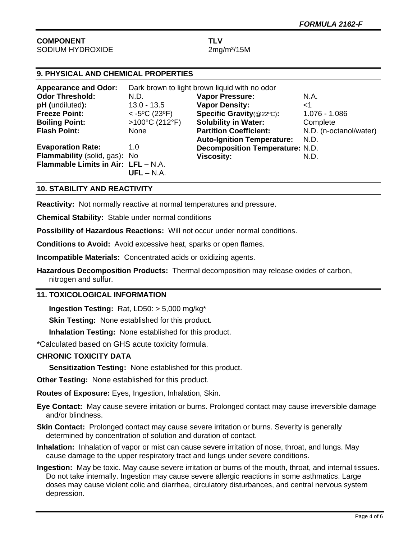# **COMPONENT TLV** SODIUM HYDROXIDE 2mg/m<sup>3</sup>/15M

# **9. PHYSICAL AND CHEMICAL PROPERTIES**

| <b>Appearance and Odor:</b>         | Dark brown to light brown liquid with no odor |                                        |                        |
|-------------------------------------|-----------------------------------------------|----------------------------------------|------------------------|
| <b>Odor Threshold:</b>              | N.D.                                          | <b>Vapor Pressure:</b>                 | N.A.                   |
| pH (undiluted):                     | $13.0 - 13.5$                                 | <b>Vapor Density:</b>                  | ا>                     |
| <b>Freeze Point:</b>                | $<$ -5°C (23°F)                               | Specific Gravity(@22°C):               | 1.076 - 1.086          |
| <b>Boiling Point:</b>               | $>100^{\circ}$ C (212°F)                      | <b>Solubility in Water:</b>            | Complete               |
| <b>Flash Point:</b>                 | None                                          | <b>Partition Coefficient:</b>          | N.D. (n-octanol/water) |
|                                     |                                               | <b>Auto-Ignition Temperature:</b>      | N.D.                   |
| <b>Evaporation Rate:</b>            | 1.0                                           | <b>Decomposition Temperature: N.D.</b> |                        |
| Flammability (solid, gas): No       |                                               | <b>Viscosity:</b>                      | N.D.                   |
| Flammable Limits in Air: LFL - N.A. |                                               |                                        |                        |
|                                     | $UFL - N.A.$                                  |                                        |                        |

# **10. STABILITY AND REACTIVITY**

**Reactivity:** Not normally reactive at normal temperatures and pressure.

**Chemical Stability:** Stable under normal conditions

**Possibility of Hazardous Reactions:** Will not occur under normal conditions.

**Conditions to Avoid:** Avoid excessive heat, sparks or open flames.

**Incompatible Materials:** Concentrated acids or oxidizing agents.

**Hazardous Decomposition Products:** Thermal decomposition may release oxides of carbon, nitrogen and sulfur.

#### **11. TOXICOLOGICAL INFORMATION**

**Ingestion Testing:** Rat, LD50: > 5,000 mg/kg\*

**Skin Testing: None established for this product.** 

**Inhalation Testing:** None established for this product.

\*Calculated based on GHS acute toxicity formula.

#### **CHRONIC TOXICITY DATA**

**Sensitization Testing:** None established for this product.

**Other Testing:** None established for this product.

**Routes of Exposure:** Eyes, Ingestion, Inhalation, Skin.

**Eye Contact:** May cause severe irritation or burns. Prolonged contact may cause irreversible damage and/or blindness.

- **Skin Contact:** Prolonged contact may cause severe irritation or burns. Severity is generally determined by concentration of solution and duration of contact.
- **Inhalation:** Inhalation of vapor or mist can cause severe irritation of nose, throat, and lungs. May cause damage to the upper respiratory tract and lungs under severe conditions.
- **Ingestion:** May be toxic. May cause severe irritation or burns of the mouth, throat, and internal tissues. Do not take internally. Ingestion may cause severe allergic reactions in some asthmatics. Large doses may cause violent colic and diarrhea, circulatory disturbances, and central nervous system depression.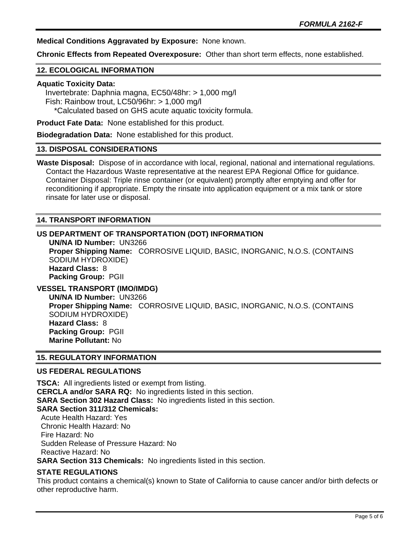**Medical Conditions Aggravated by Exposure:** None known.

**Chronic Effects from Repeated Overexposure:** Other than short term effects, none established.

# **12. ECOLOGICAL INFORMATION**

#### **Aquatic Toxicity Data:**

 Invertebrate: Daphnia magna, EC50/48hr: > 1,000 mg/l Fish: Rainbow trout, LC50/96hr: > 1,000 mg/l \*Calculated based on GHS acute aquatic toxicity formula.

**Product Fate Data:** None established for this product.

**Biodegradation Data:** None established for this product.

#### **13. DISPOSAL CONSIDERATIONS**

**Waste Disposal:** Dispose of in accordance with local, regional, national and international regulations. Contact the Hazardous Waste representative at the nearest EPA Regional Office for guidance. Container Disposal: Triple rinse container (or equivalent) promptly after emptying and offer for reconditioning if appropriate. Empty the rinsate into application equipment or a mix tank or store rinsate for later use or disposal.

#### **14. TRANSPORT INFORMATION**

#### **US DEPARTMENT OF TRANSPORTATION (DOT) INFORMATION**

**UN/NA ID Number:** UN3266 **Proper Shipping Name:** CORROSIVE LIQUID, BASIC, INORGANIC, N.O.S. (CONTAINS SODIUM HYDROXIDE) **Hazard Class:** 8 **Packing Group:** PGII

# **VESSEL TRANSPORT (IMO/IMDG)**

**UN/NA ID Number:** UN3266 **Proper Shipping Name:** CORROSIVE LIQUID, BASIC, INORGANIC, N.O.S. (CONTAINS SODIUM HYDROXIDE) **Hazard Class:** 8 **Packing Group:** PGII **Marine Pollutant:** No

#### **15. REGULATORY INFORMATION**

#### **US FEDERAL REGULATIONS**

**TSCA:** All ingredients listed or exempt from listing. **CERCLA and/or SARA RQ:** No ingredients listed in this section. **SARA Section 302 Hazard Class:** No ingredients listed in this section. **SARA Section 311/312 Chemicals:**  Acute Health Hazard: Yes Chronic Health Hazard: No Fire Hazard: No Sudden Release of Pressure Hazard: No Reactive Hazard: No **SARA Section 313 Chemicals:** No ingredients listed in this section.

#### **STATE REGULATIONS**

This product contains a chemical(s) known to State of California to cause cancer and/or birth defects or other reproductive harm.